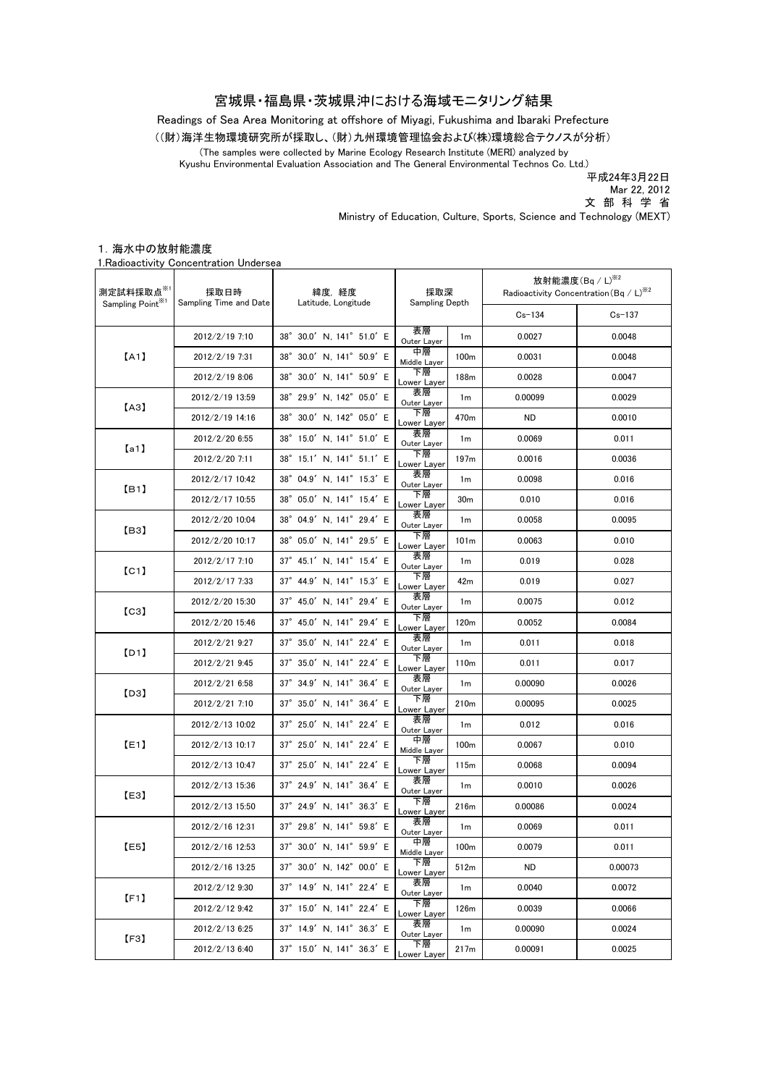#### 宮城県・福島県・茨城県沖における海域モニタリング結果

Readings of Sea Area Monitoring at offshore of Miyagi, Fukushima and Ibaraki Prefecture

((財)海洋生物環境研究所が採取し、(財)九州環境管理協会および(株)環境総合テクノスが分析)

(The samples were collected by Marine Ecology Research Institute (MERI) analyzed by

Kyushu Environmental Evaluation Association and The General Environmental Technos Co. Ltd.)

平成24年3月22日

Mar 22, 2012

文 部 科 学 省

Ministry of Education, Culture, Sports, Science and Technology (MEXT)

#### 1.海水中の放射能濃度

1.Radioactivity Concentration Undersea

| 測定試料採取点※1<br>Sampling Point <sup>361</sup> | 採取日時<br>Sampling Time and Date | 緯度,経度<br>Latitude, Longitude                 | 採取深<br>Sampling Depth |                  | 放射能濃度 $($ Bq $/$ L $)$ <sup>※2</sup><br>Radioactivity Concentration (Bq / L) <sup>362</sup> |         |
|--------------------------------------------|--------------------------------|----------------------------------------------|-----------------------|------------------|---------------------------------------------------------------------------------------------|---------|
|                                            |                                |                                              |                       |                  | $Cs - 134$                                                                                  | Cs-137  |
| [A1]                                       | 2012/2/19 7:10                 | 38° 30.0' N, 141° 51.0' E                    | 表層<br>Outer Layer     | 1 <sub>m</sub>   | 0.0027                                                                                      | 0.0048  |
|                                            | 2012/2/19 7:31                 | 38° 30.0' N, 141° 50.9' E                    | 中層<br>Middle Layer    | 100 <sub>m</sub> | 0.0031                                                                                      | 0.0048  |
|                                            | 2012/2/19 8:06                 | 38° 30.0' N, 141° 50.9' E                    | 下層<br>Lower Layer     | 188m             | 0.0028                                                                                      | 0.0047  |
| 【A3】                                       | 2012/2/19 13:59                | 38° 29.9' N. 142° 05.0' E                    | 表層<br>Outer Layer     | 1 <sub>m</sub>   | 0.00099                                                                                     | 0.0029  |
|                                            | 2012/2/19 14:16                | $38^{\circ}$ 30.0' N, 142 $^{\circ}$ 05.0' E | 下層<br>Lower Laver     | 470m             | ND                                                                                          | 0.0010  |
| [a1]                                       | 2012/2/20 6:55                 | 38° 15.0' N. 141° 51.0' E                    | 表層<br>Outer Layer     | 1m               | 0.0069                                                                                      | 0.011   |
|                                            | 2012/2/20 7:11                 | 38° 15.1' N, 141° 51.1' E                    | 下層<br>Lower Layer     | 197 <sub>m</sub> | 0.0016                                                                                      | 0.0036  |
| [B1]                                       | 2012/2/17 10:42                | 38° 04.9' N, 141° 15.3' E                    | 表層<br>Outer Layer     | 1 <sub>m</sub>   | 0.0098                                                                                      | 0.016   |
|                                            | 2012/2/17 10:55                | 38° 05.0' N, 141° 15.4' E                    | 下層<br>Lower Layer     | 30 <sub>m</sub>  | 0.010                                                                                       | 0.016   |
|                                            | 2012/2/20 10:04                | 38° 04.9' N, 141° 29.4' E                    | 表層<br>Outer Layer     | 1 <sub>m</sub>   | 0.0058                                                                                      | 0.0095  |
| [B3]                                       | 2012/2/20 10:17                | 38° 05.0' N, 141° 29.5' E                    | 下層<br>Lower Layer     | 101m             | 0.0063                                                                                      | 0.010   |
| [CI]                                       | 2012/2/17 7:10                 | 37° 45.1' N, 141° 15.4' E                    | 表層<br>Outer Layer     | 1 <sub>m</sub>   | 0.019                                                                                       | 0.028   |
|                                            | 2012/2/17 7:33                 | 37° 44.9' N, 141° 15.3' E                    | 下層<br>Lower Layer     | 42m              | 0.019                                                                                       | 0.027   |
| $\left[\text{C3}\right]$                   | 2012/2/20 15:30                | 37° 45.0' N, 141° 29.4' E                    | 表層<br>Outer Layer     | 1 <sub>m</sub>   | 0.0075                                                                                      | 0.012   |
|                                            | 2012/2/20 15:46                | 37° 45.0' N, 141° 29.4' E                    | 下層<br>Lower Layer     | 120m             | 0.0052                                                                                      | 0.0084  |
| [D1]                                       | 2012/2/21 9:27                 | 37° 35.0' N, 141° 22.4' E                    | 表層<br>Outer Layer     | 1 <sub>m</sub>   | 0.011                                                                                       | 0.018   |
|                                            | 2012/2/21 9:45                 | 37° 35.0' N, 141° 22.4' E                    | 下層<br>Lower Layer     | 110 <sub>m</sub> | 0.011                                                                                       | 0.017   |
| [D3]                                       | 2012/2/21 6:58                 | 37° 34.9' N, 141° 36.4' E                    | 表層<br>Outer Layer     | 1 <sub>m</sub>   | 0.00090                                                                                     | 0.0026  |
|                                            | 2012/2/21 7:10                 | 37° 35.0' N, 141° 36.4' E                    | 下層<br>Lower Layer     | 210m             | 0.00095                                                                                     | 0.0025  |
| [E1]                                       | 2012/2/13 10:02                | 37° 25.0' N, 141° 22.4' E                    | 表層<br>Outer Layer     | 1 <sub>m</sub>   | 0.012                                                                                       | 0.016   |
|                                            | 2012/2/13 10:17                | 37° 25.0' N, 141° 22.4' E                    | 中層<br>Middle Layer    | 100m             | 0.0067                                                                                      | 0.010   |
|                                            | 2012/2/13 10:47                | 37° 25.0' N, 141° 22.4' E                    | 下層<br>Lower Layer     | 115m             | 0.0068                                                                                      | 0.0094  |
| 【E3】                                       | 2012/2/13 15:36                | 37° 24.9' N, 141° 36.4' E                    | 表層<br>Outer Layer     | 1 <sub>m</sub>   | 0.0010                                                                                      | 0.0026  |
|                                            | 2012/2/13 15:50                | 37° 24.9' N, 141° 36.3' E                    | 下層<br>Lower Layer     | 216m             | 0.00086                                                                                     | 0.0024  |
| [E5]                                       | 2012/2/16 12:31                | 37° 29.8' N, 141° 59.8' E                    | 表層<br>Outer Layer     | 1 <sub>m</sub>   | 0.0069                                                                                      | 0.011   |
|                                            | 2012/2/16 12:53                | 37° 30.0' N, 141° 59.9' E                    | 中層<br>Middle Layer    | 100m             | 0.0079                                                                                      | 0.011   |
|                                            | 2012/2/16 13:25                | 37° 30.0' N, 142° 00.0' E                    | 下層<br>Lower Layer     | 512m             | ND.                                                                                         | 0.00073 |
| [F1]                                       | 2012/2/12 9:30                 | 37° 14.9' N, 141° 22.4' E                    | 表層<br>Outer Layer     | 1 <sub>m</sub>   | 0.0040                                                                                      | 0.0072  |
|                                            | 2012/2/12 9:42                 | 37° 15.0' N, 141° 22.4' E                    | 下層<br>Lower Layer     | 126m             | 0.0039                                                                                      | 0.0066  |
| [F3]                                       | 2012/2/13 6:25                 | $37^\circ$ 14.9' N. 141 $^\circ$ 36.3' E     | 表層<br>Outer Layer     | 1 <sub>m</sub>   | 0.00090                                                                                     | 0.0024  |
|                                            | 2012/2/13 6:40                 | 37° 15.0' N, 141° 36.3' E                    | 下層<br>Lower Layer     | 217m             | 0.00091                                                                                     | 0.0025  |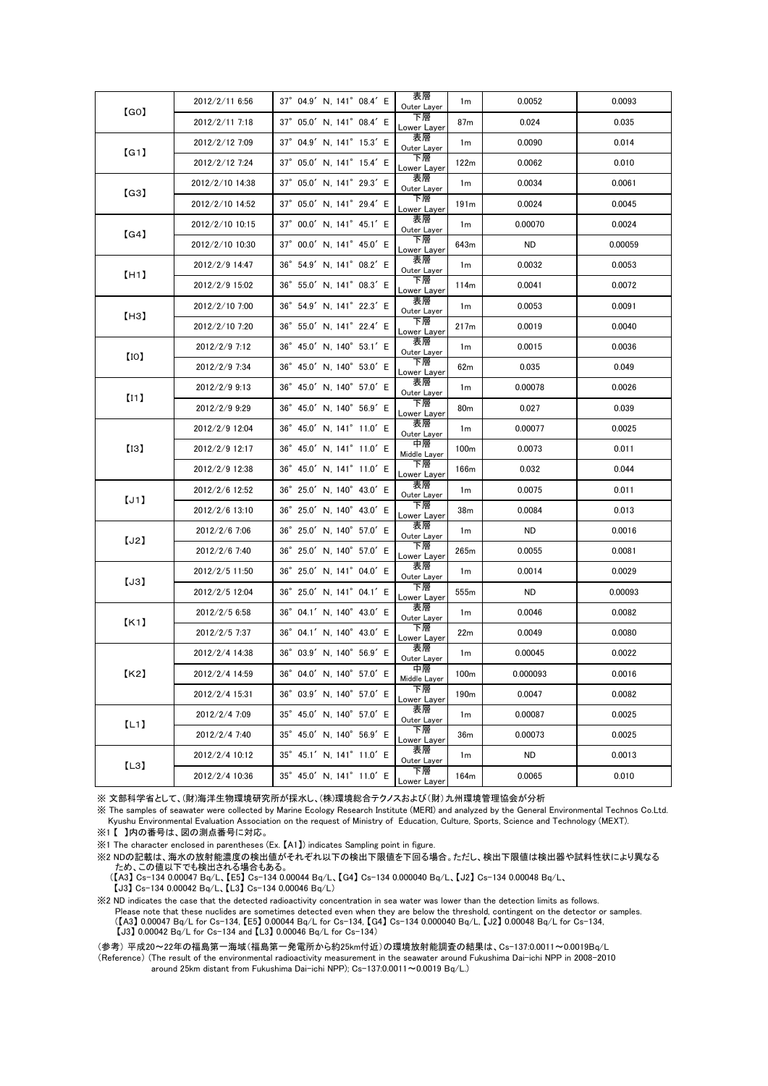| [GO] | 2012/2/11 6:56  | 37° 04.9' N. 141° 08.4' E                    | 表層<br>Outer Layer  | 1 <sub>m</sub>   | 0.0052    | 0.0093  |
|------|-----------------|----------------------------------------------|--------------------|------------------|-----------|---------|
|      | 2012/2/11 7:18  | 37° 05.0' N, 141° 08.4' E                    | 下層<br>Lower Layer  | 87m              | 0.024     | 0.035   |
| [G1] | 2012/2/12 7:09  | 37° 04.9' N, 141° 15.3' E                    | 表層<br>Outer Layer  | 1m               | 0.0090    | 0.014   |
|      | 2012/2/12 7:24  | $37^{\circ}$ 05.0' N, 141 $^{\circ}$ 15.4' E | 下層<br>Lower Layer  | 122m             | 0.0062    | 0.010   |
| [G3] | 2012/2/10 14:38 | $37^{\circ}$ 05.0' N, 141 $^{\circ}$ 29.3' E | 表層<br>Outer Layer  | 1 <sub>m</sub>   | 0.0034    | 0.0061  |
|      | 2012/2/10 14:52 | 37° 05.0' N, 141° 29.4' E                    | 下層<br>Lower Layer  | 191m             | 0.0024    | 0.0045  |
| [G4] | 2012/2/10 10:15 | 37° 00.0' N, 141° 45.1' E                    | 表層<br>Outer Layer  | 1 <sub>m</sub>   | 0.00070   | 0.0024  |
|      | 2012/2/10 10:30 | 37° 00.0' N, 141° 45.0' E                    | 下層<br>Lower Layer  | 643m             | ND.       | 0.00059 |
| [H1] | 2012/2/9 14:47  | 36° 54.9' N. 141° 08.2' E                    | 表層<br>Outer Layer  | 1m               | 0.0032    | 0.0053  |
|      | 2012/2/9 15:02  | $36^{\circ}$ 55.0' N, 141 $^{\circ}$ 08.3' E | 下層<br>Lower Layer  | 114m             | 0.0041    | 0.0072  |
| [H3] | 2012/2/10 7:00  | 36° 54.9' N, 141° 22.3' E                    | 表層<br>Outer Layer  | 1 <sub>m</sub>   | 0.0053    | 0.0091  |
|      | 2012/2/10 7:20  | $36^{\circ}$ 55.0' N, 141 $^{\circ}$ 22.4' E | 下層<br>Lower Layer  | 217m             | 0.0019    | 0.0040  |
| [10] | 2012/2/9 7:12   | $36^{\circ}$ 45.0' N, 140 $^{\circ}$ 53.1' E | 表層<br>Outer Layer  | 1 <sub>m</sub>   | 0.0015    | 0.0036  |
|      | 2012/2/9 7:34   | 36° 45.0' N, 140° 53.0' E                    | 下層<br>Lower Layer  | 62m              | 0.035     | 0.049   |
| [11] | 2012/2/9 9:13   | $36^{\circ}$ 45.0' N, 140 $^{\circ}$ 57.0' E | 表層<br>Outer Layer  | 1 <sub>m</sub>   | 0.00078   | 0.0026  |
|      | 2012/2/9 9:29   | $36^{\circ}$ 45.0' N, 140 $^{\circ}$ 56.9' E | 下層<br>Lower Layer  | 80m              | 0.027     | 0.039   |
| [13] | 2012/2/9 12:04  | 36° 45.0' N, 141° 11.0' E                    | 表層<br>Outer Layer  | 1 <sub>m</sub>   | 0.00077   | 0.0025  |
|      | 2012/2/9 12:17  | 36° 45.0' N, 141° 11.0' E                    | 中層<br>Middle Layer | 100m             | 0.0073    | 0.011   |
|      | 2012/2/9 12:38  | 36° 45.0' N, 141° 11.0' E                    | 下層<br>Lower Layer  | 166m             | 0.032     | 0.044   |
| [J1] | 2012/2/6 12:52  | 36° 25.0' N, 140° 43.0' E                    | 表層<br>Outer Layer  | 1 <sub>m</sub>   | 0.0075    | 0.011   |
|      | 2012/2/6 13:10  | $36^{\circ}$ 25.0' N, 140 $^{\circ}$ 43.0' E | 下層<br>Lower Layer  | 38m              | 0.0084    | 0.013   |
| [J2] | 2012/2/6 7:06   | 36° 25.0' N, 140° 57.0' E                    | 表層<br>Outer Layer  | 1 <sub>m</sub>   | <b>ND</b> | 0.0016  |
|      | 2012/2/6 7:40   | 36° 25.0' N, 140° 57.0' E                    | 下層<br>Lower Layer  | 265m             | 0.0055    | 0.0081  |
| [J3] | 2012/2/5 11:50  | $36^{\circ}$ 25.0' N, 141 $^{\circ}$ 04.0' E | 表層<br>Outer Layer  | 1 <sub>m</sub>   | 0.0014    | 0.0029  |
|      | 2012/2/5 12:04  | 36° 25.0' N, 141° 04.1' E                    | 下層<br>Lower Layer  | 555m             | <b>ND</b> | 0.00093 |
| K1   | 2012/2/5 6:58   | 36° 04.1' N, 140° 43.0' E                    | 表層<br>Outer Layer  | 1 <sub>m</sub>   | 0.0046    | 0.0082  |
|      | 2012/2/5 7:37   | 36° 04.1' N, 140° 43.0' E                    | 下層<br>Lower Layer  | 22m              | 0.0049    | 0.0080  |
| K2   | 2012/2/4 14:38  | 36° 03.9' N. 140° 56.9' E                    | 表層<br>Outer Layer  | 1 <sub>m</sub>   | 0.00045   | 0.0022  |
|      | 2012/2/4 14:59  | 36° 04.0' N, 140° 57.0' E                    | 中層<br>Middle Layer | 100m             | 0.000093  | 0.0016  |
|      | 2012/2/4 15:31  | 36° 03.9' N, 140° 57.0' E                    | 下層<br>Lower Layer  | 190 <sub>m</sub> | 0.0047    | 0.0082  |
| [L1] | 2012/2/4 7:09   | 35° 45.0' N. 140° 57.0' E                    | 表層<br>Outer Layer  | 1 <sub>m</sub>   | 0.00087   | 0.0025  |
|      | 2012/2/4 7:40   | 35° 45.0' N, 140° 56.9' E                    | 下層<br>Lower Layer  | 36m              | 0.00073   | 0.0025  |
| [L3] | 2012/2/4 10:12  | 35° 45.1' N, 141° 11.0' E                    | 表層<br>Outer Layer  | 1 <sub>m</sub>   | ND        | 0.0013  |
|      | 2012/2/4 10:36  | 35° 45.0' N, 141° 11.0' E                    | 下層<br>Lower Layer  | 164m             | 0.0065    | 0.010   |

※ 文部科学省として、(財)海洋生物環境研究所が採水し、(株)環境総合テクノスおよび(財)九州環境管理協会が分析

※ The samples of seawater were collected by Marine Ecology Research Institute (MERI) and analyzed by the General Environmental Technos Co.Ltd. Kyushu Environmental Evaluation Association on the request of Ministry of Education, Culture, Sports, Science and Technology (MEXT).

※1 【 】内の番号は、図の測点番号に対応。

※1 The character enclosed in parentheses (Ex. 【A1】) indicates Sampling point in figure.

※2 NDの記載は、海水の放射能濃度の検出値がそれぞれ以下の検出下限値を下回る場合。ただし、検出下限値は検出器や試料性状により異なる ため、この値以下でも検出される場合もある。

 (【A3】 Cs-134 0.00047 Bq/L、【E5】 Cs-134 0.00044 Bq/L、【G4】 Cs-134 0.000040 Bq/L、【J2】 Cs-134 0.00048 Bq/L、 【J3】 Cs-134 0.00042 Bq/L、【L3】 Cs-134 0.00046 Bq/L)

※2 ND indicates the case that the detected radioactivity concentration in sea water was lower than the detection limits as follows. Please note that these nuclides are sometimes detected even when they are below the threshold, contingent on the detector or samples. (【A3】 0.00047 Bq/L for Cs-134, 【E5】 0.00044 Bq/L for Cs-134, 【G4】 Cs-134 0.000040 Bq/L, 【J2】 0.00048 Bq/L for Cs-134, 【J3】 0.00042 Bq/L for Cs-134 and 【L3】 0.00046 Bq/L for Cs-134)

(参考) 平成20~22年の福島第一海域(福島第一発電所から約25km付近)の環境放射能調査の結果は、Cs-137:0.0011~0.0019Bq/L (Reference) (The result of the environmental radioactivity measurement in the seawater around Fukushima Dai-ichi NPP in 2008-2010 around 25km distant from Fukushima Dai-ichi NPP); Cs-137:0.0011~0.0019 Bq/L.)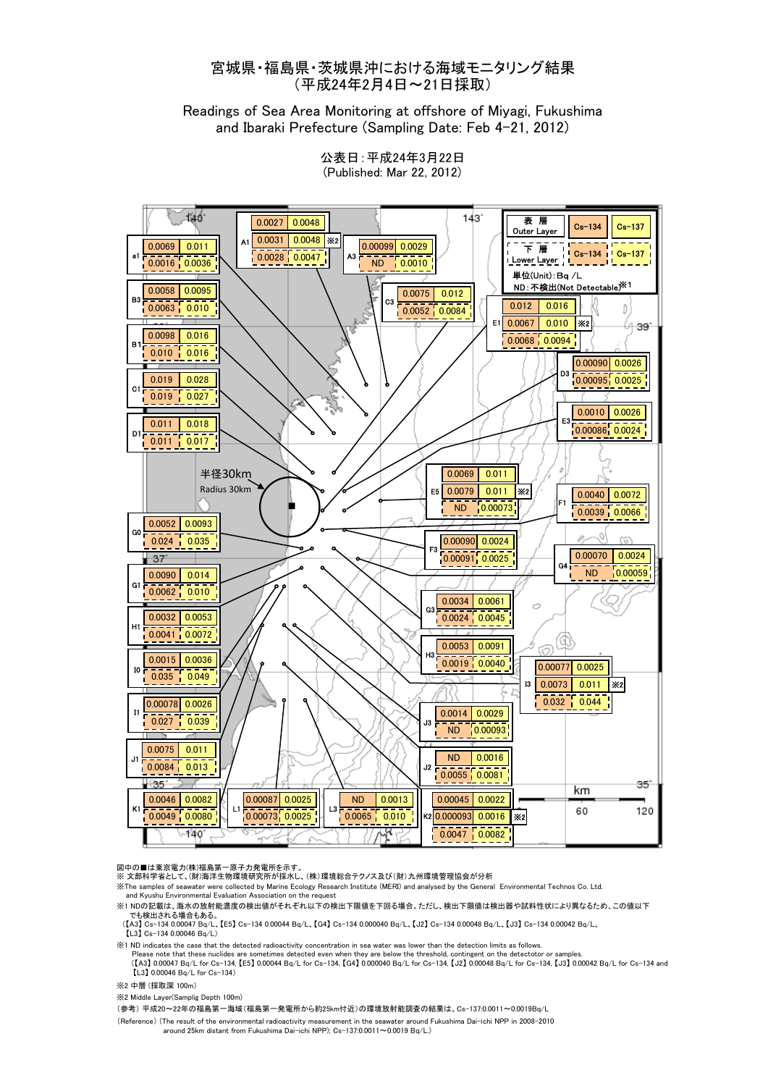#### 宮城県・福島県・茨城県沖における海域モニタリング結果 (平成24年2月4日~21日採取)

Readings of Sea Area Monitoring at offshore of Miyagi, Fukushima and Ibaraki Prefecture (Sampling Date: Feb 4-21, 2012)



公表日:平成24年3月22日 (Published: Mar 22, 2012)

#### 図中の■は東京雷力(株)福島第一原子力発雷所を示す

※ 文部科学省として、(財)海洋生物環境研究所が採水し、(株)環境総合テクノス及び(財)九州環境管理協会が分析

※The samples of seawater were collected by Marine Ecology Research Institute (MERI) and analysed by the General Environmental Technos Co. Ltd. and Kyushu Environmental Evaluation Association on the request

※1 NDの記載は、海水の放射能濃度の検出値がそれぞれ以下の検出下限値を下回る場合。ただし、検出下限値は検出器や試料性状により異なるため、この値以下 でも検出される場合もある。

 (【A3】 Cs-134 0.00047 Bq/L、【E5】 Cs-134 0.00044 Bq/L、【G4】 Cs-134 0.000040 Bq/L、【J2】 Cs-134 0.00048 Bq/L、【J3】 Cs-134 0.00042 Bq/L、 【L3】 Cs-134 0.00046 Bq/L)

※1 ND indicates the case that the detected radioactivity concentration in sea water was lower than the detection limits as follows.

Please note that these nuclides are sometimes detected even when they are below the threshold, contingent on the detectotor or samples.<br>([A3] 0.00047 Bq/L for Cs-134, [E5] 0.00044 Bq/L for Cs-134, [G4] 0.000040 Bq/L for Cs  $L$ 13 $L$  0.00046 Bq/L for Cs-134)

※2 中層 (採取深 100m)

※2 Middle Layer(Samplig Depth 100m)

(参考) 平成20~22年の福島第一海域(福島第一発電所から約25km付近)の環境放射能調査の結果は、Cs-137:0.0011~0.0019Bq/L

(Reference) (The result of the environmental radioactivity measurement in the seawater around Fukushima Dai-ichi NPP in 2008-2010 around 25km distant from Fukushima Dai-ichi NPP); Cs-137:0.0011~0.0019 Bq/L.)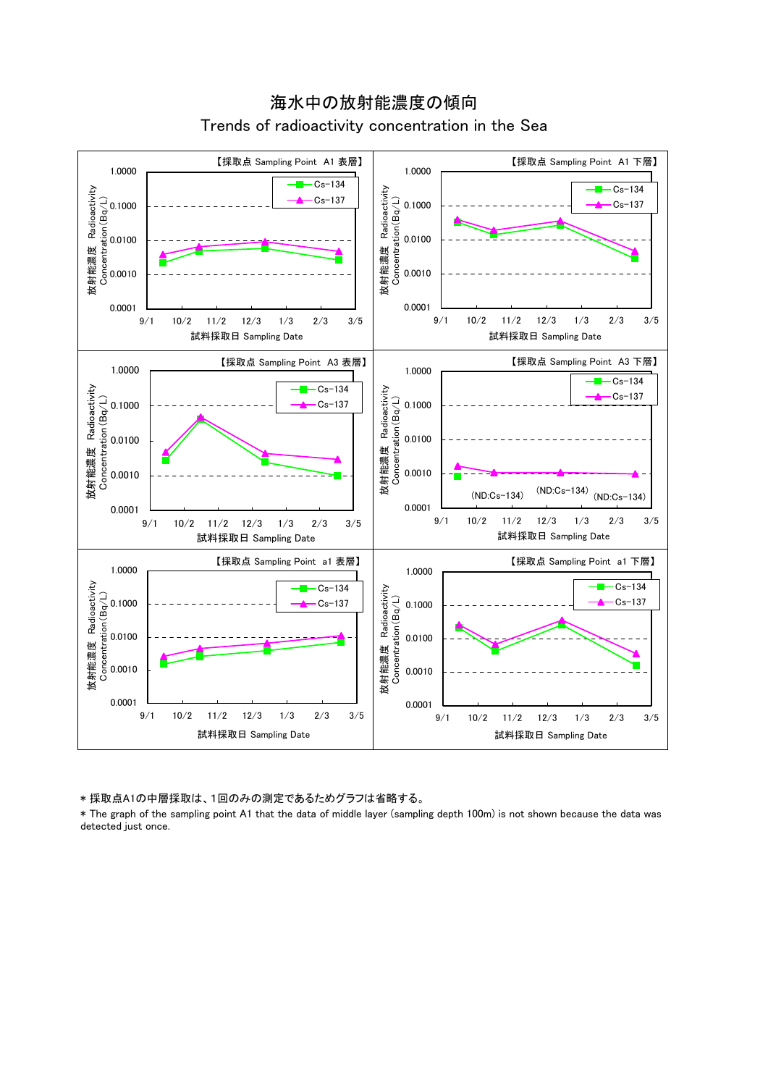

海水中の放射能濃度の傾向 Trends of radioactivity concentration in the Sea

\* 採取点A1の中層採取は、1回のみの測定であるためグラフは省略する。

\* The graph of the sampling point A1 that the data of middle layer (sampling depth 100m) is not shown because the data was detected just once.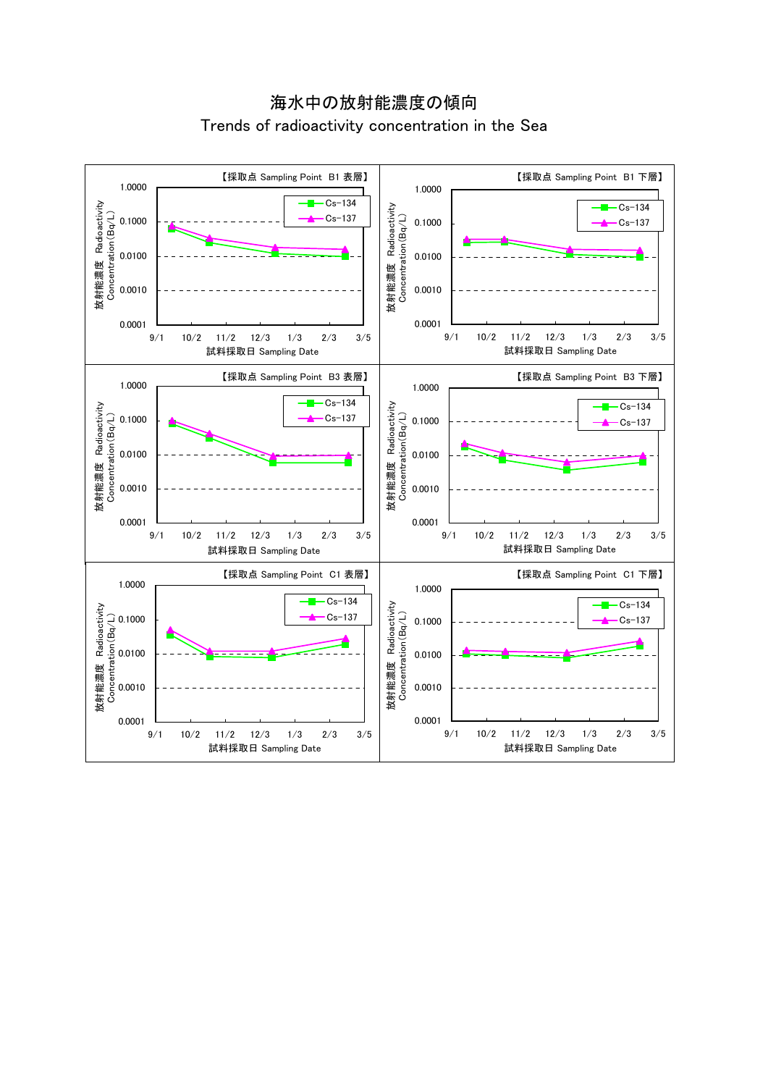海水中の放射能濃度の傾向 Trends of radioactivity concentration in the Sea

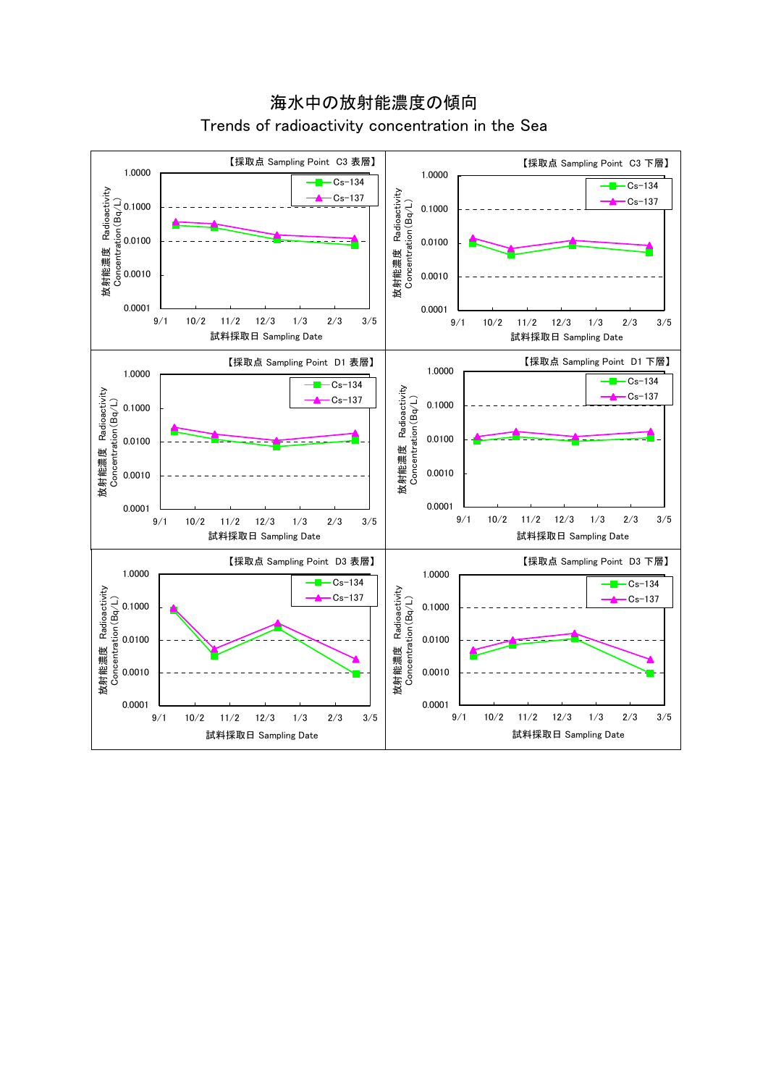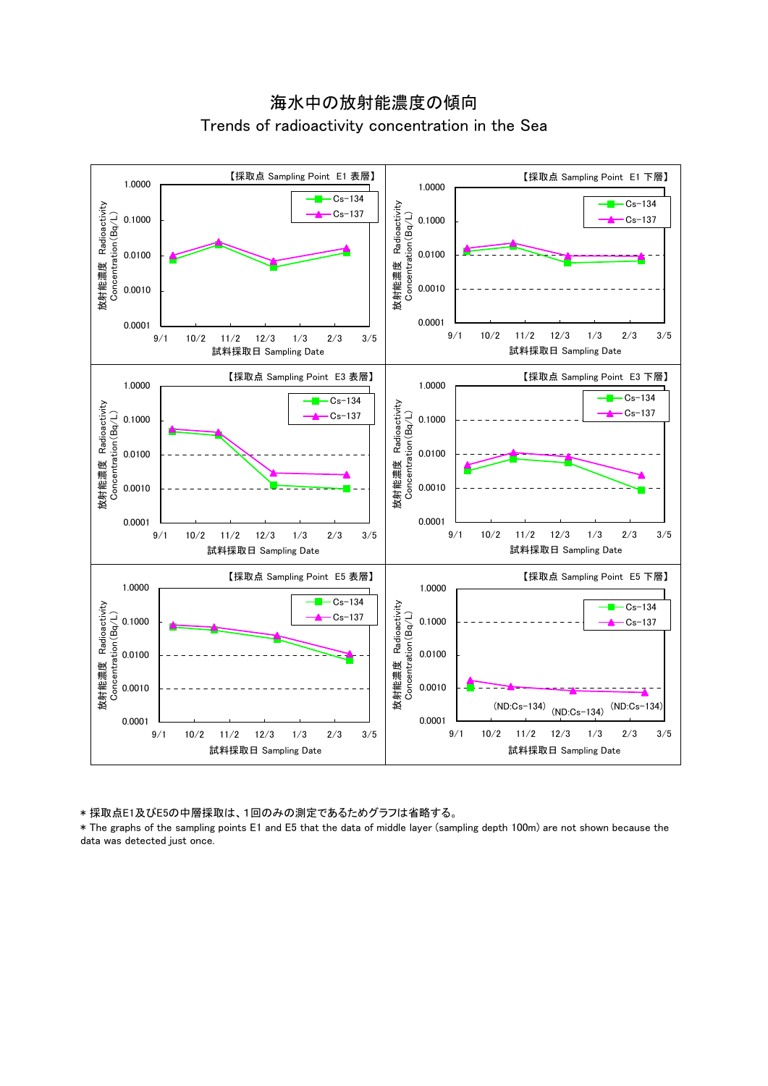



\* 採取点E1及びE5の中層採取は、1回のみの測定であるためグラフは省略する。

\* The graphs of the sampling points E1 and E5 that the data of middle layer (sampling depth 100m) are not shown because the data was detected just once.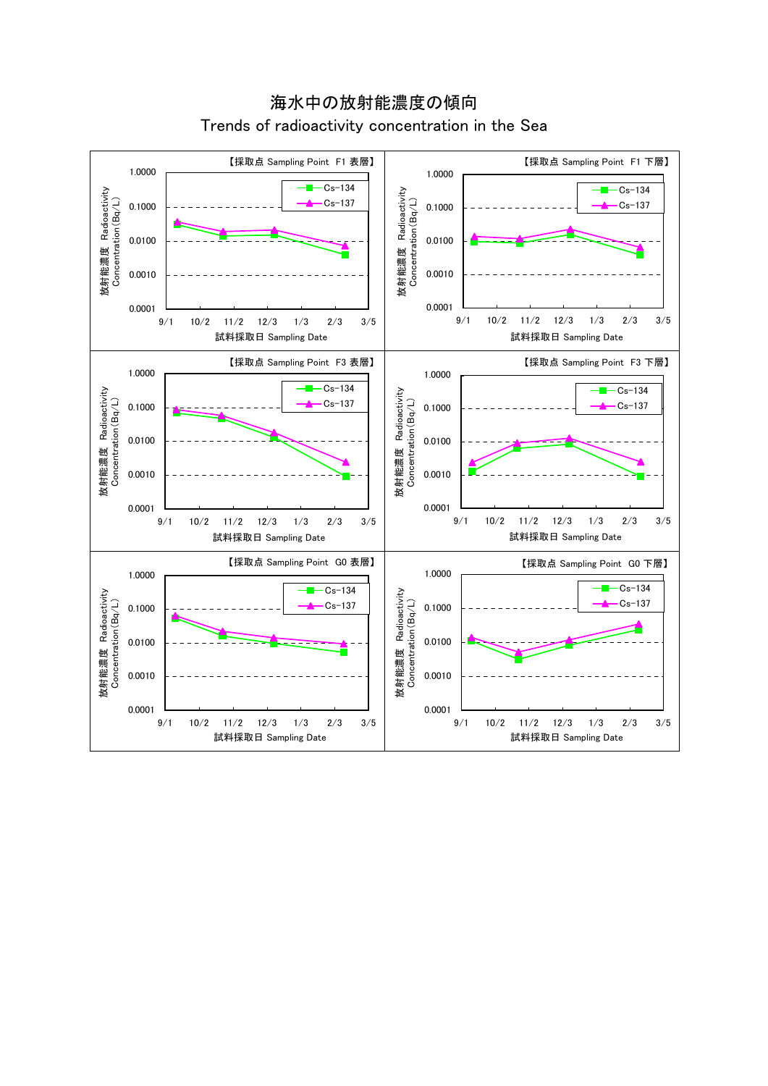

海水中の放射能濃度の傾向 Trends of radioactivity concentration in the Sea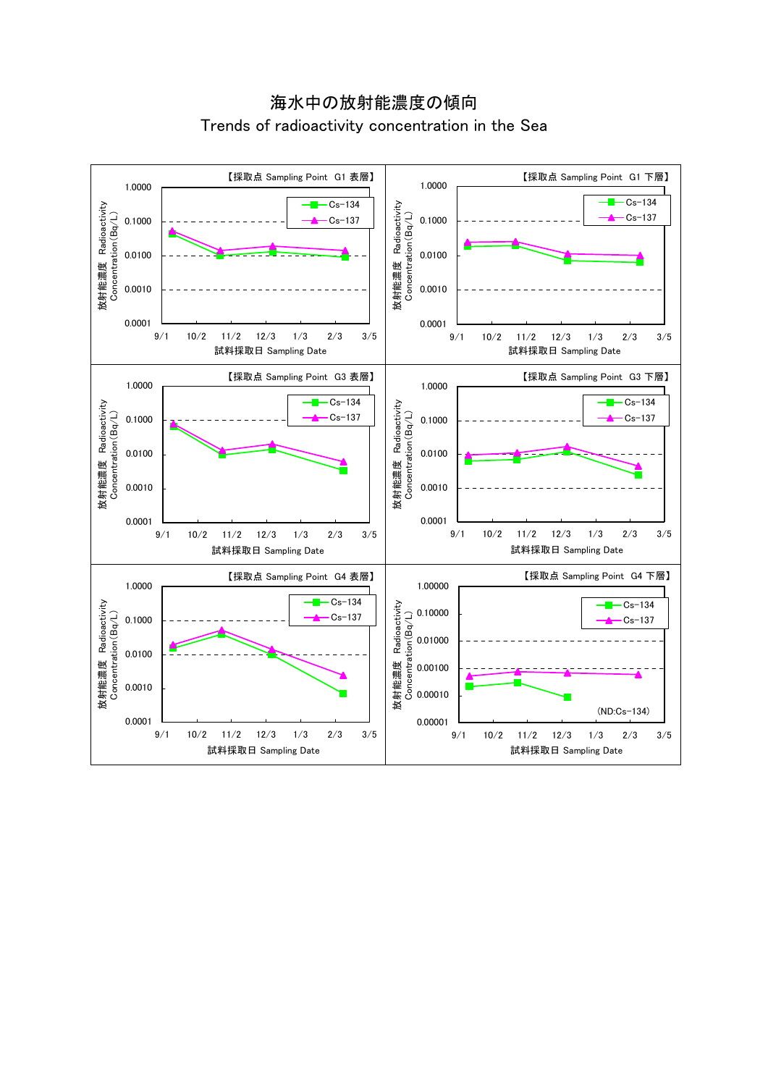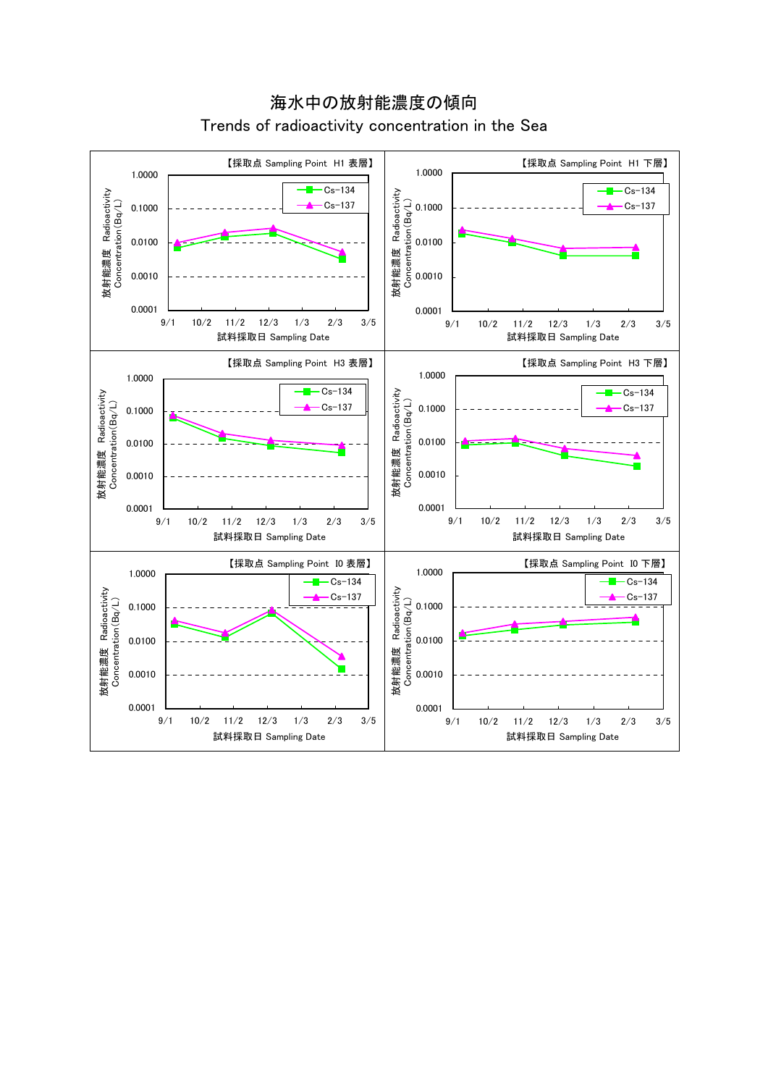

海水中の放射能濃度の傾向 Trends of radioactivity concentration in the Sea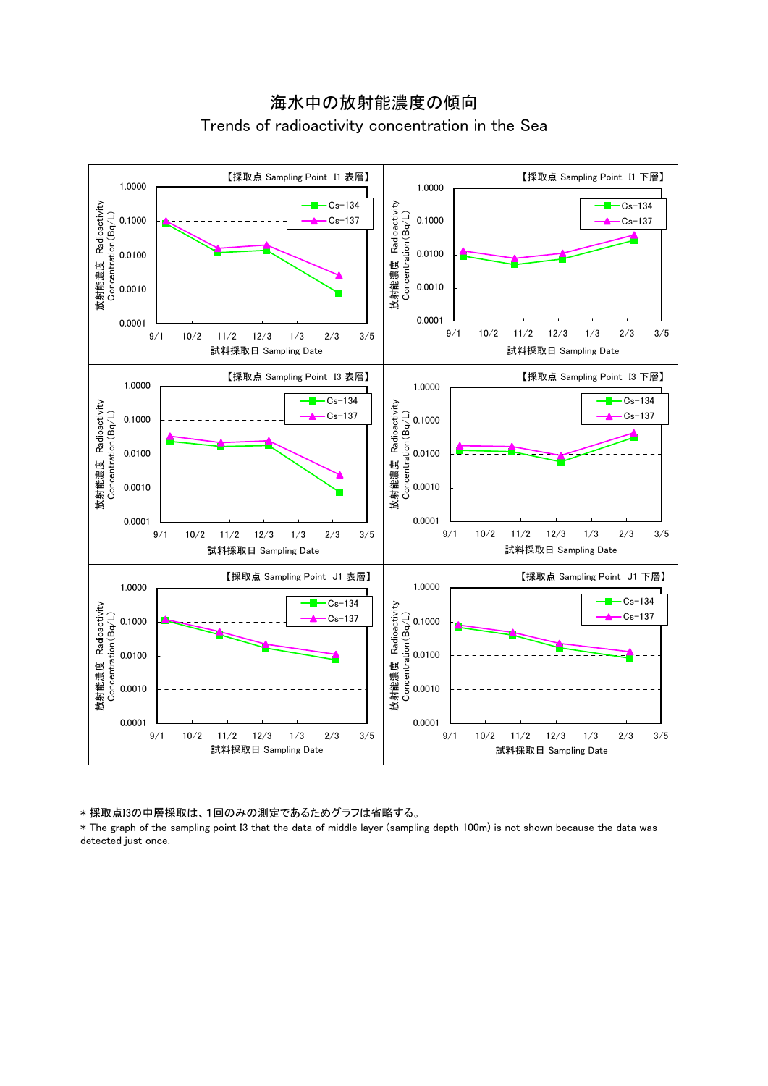



\* 採取点I3の中層採取は、1回のみの測定であるためグラフは省略する。

\* The graph of the sampling point I3 that the data of middle layer (sampling depth 100m) is not shown because the data was detected just once.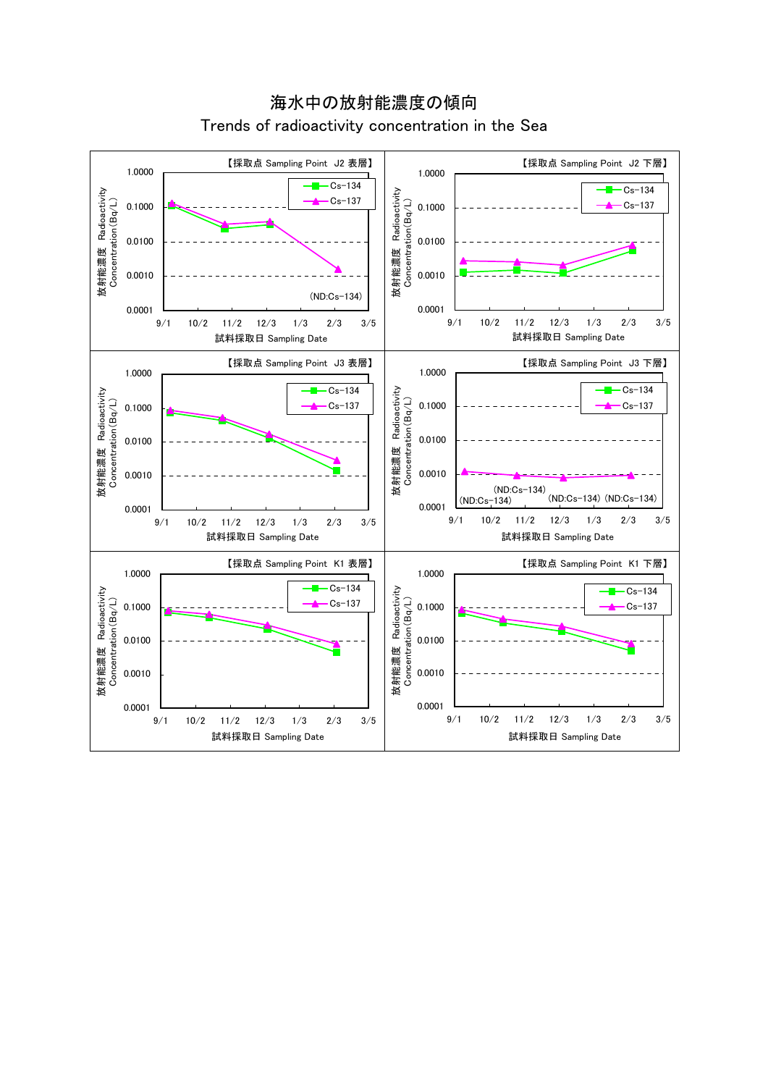